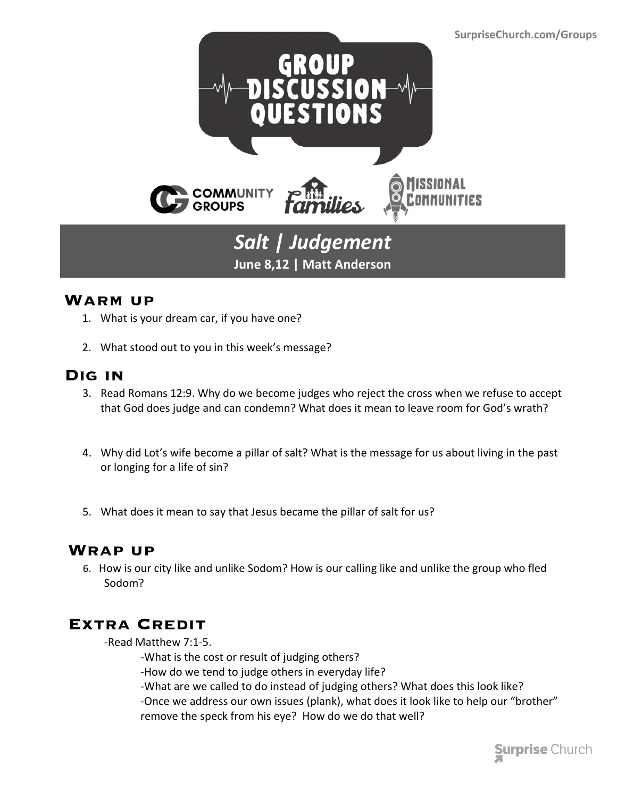

### **Warm up**

- 1. What is your dream car, if you have one?
- 2. What stood out to you in this week's message?

# **Dig in**

3. Read Romans 12:9. Why do we become judges who reject the cross when we refuse to accept that God does judge and can condemn? What does it mean to leave room for God's wrath?

**June 8,12 | Matt Anderson**

- 4. Why did Lot's wife become a pillar of salt? What is the message for us about living in the past or longing for a life of sin?
- 5. What does it mean to say that Jesus became the pillar of salt for us?

# **Wrap up**

 6. How is our city like and unlike Sodom? How is our calling like and unlike the group who fled Sodom?

# **Extra Credit**

-Read Matthew 7:1-5.

-What is the cost or result of judging others?

-How do we tend to judge others in everyday life?

-What are we called to do instead of judging others? What does this look like?

-Once we address our own issues (plank), what does it look like to help our "brother" remove the speck from his eye? How do we do that well?